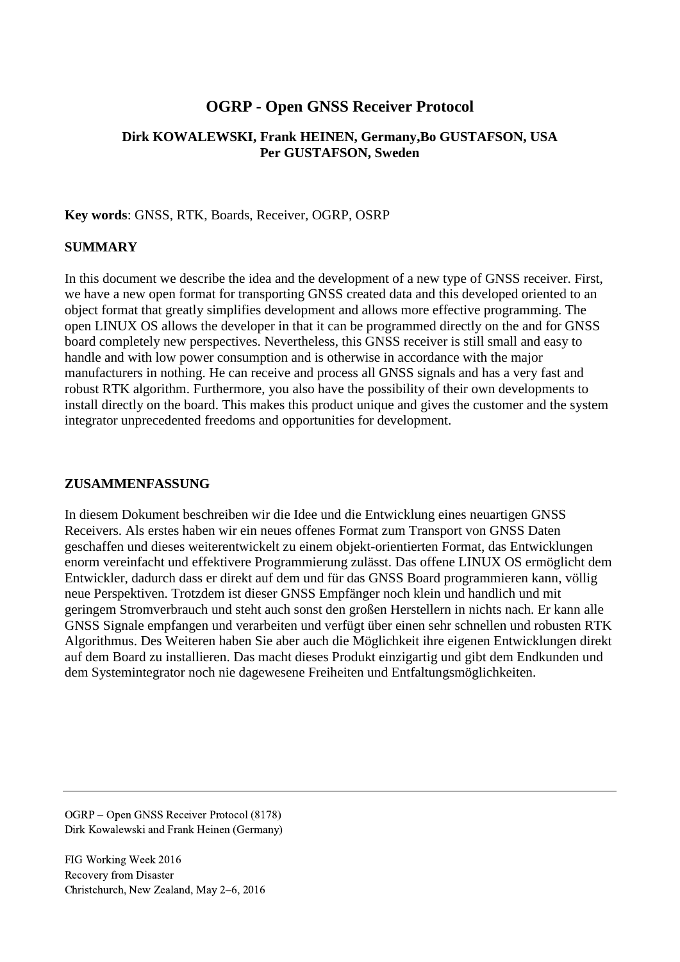# **OGRP - Open GNSS Receiver Protocol**

## **Dirk KOWALEWSKI, Frank HEINEN, Germany,Bo GUSTAFSON, USA Per GUSTAFSON, Sweden**

### **Key words**: GNSS, RTK, Boards, Receiver, OGRP, OSRP

### **SUMMARY**

In this document we describe the idea and the development of a new type of GNSS receiver. First, we have a new open format for transporting GNSS created data and this developed oriented to an object format that greatly simplifies development and allows more effective programming. The open LINUX OS allows the developer in that it can be programmed directly on the and for GNSS board completely new perspectives. Nevertheless, this GNSS receiver is still small and easy to handle and with low power consumption and is otherwise in accordance with the major manufacturers in nothing. He can receive and process all GNSS signals and has a very fast and robust RTK algorithm. Furthermore, you also have the possibility of their own developments to install directly on the board. This makes this product unique and gives the customer and the system integrator unprecedented freedoms and opportunities for development.

### **ZUSAMMENFASSUNG**

In diesem Dokument beschreiben wir die Idee und die Entwicklung eines neuartigen GNSS Receivers. Als erstes haben wir ein neues offenes Format zum Transport von GNSS Daten geschaffen und dieses weiterentwickelt zu einem objekt-orientierten Format, das Entwicklungen enorm vereinfacht und effektivere Programmierung zulässt. Das offene LINUX OS ermöglicht dem Entwickler, dadurch dass er direkt auf dem und für das GNSS Board programmieren kann, völlig neue Perspektiven. Trotzdem ist dieser GNSS Empfänger noch klein und handlich und mit geringem Stromverbrauch und steht auch sonst den großen Herstellern in nichts nach. Er kann alle GNSS Signale empfangen und verarbeiten und verfügt über einen sehr schnellen und robusten RTK Algorithmus. Des Weiteren haben Sie aber auch die Möglichkeit ihre eigenen Entwicklungen direkt auf dem Board zu installieren. Das macht dieses Produkt einzigartig und gibt dem Endkunden und dem Systemintegrator noch nie dagewesene Freiheiten und Entfaltungsmöglichkeiten.

OGRP – Open GNSS Receiver Protocol (8178) Dirk Kowalewski and Frank Heinen (Germany)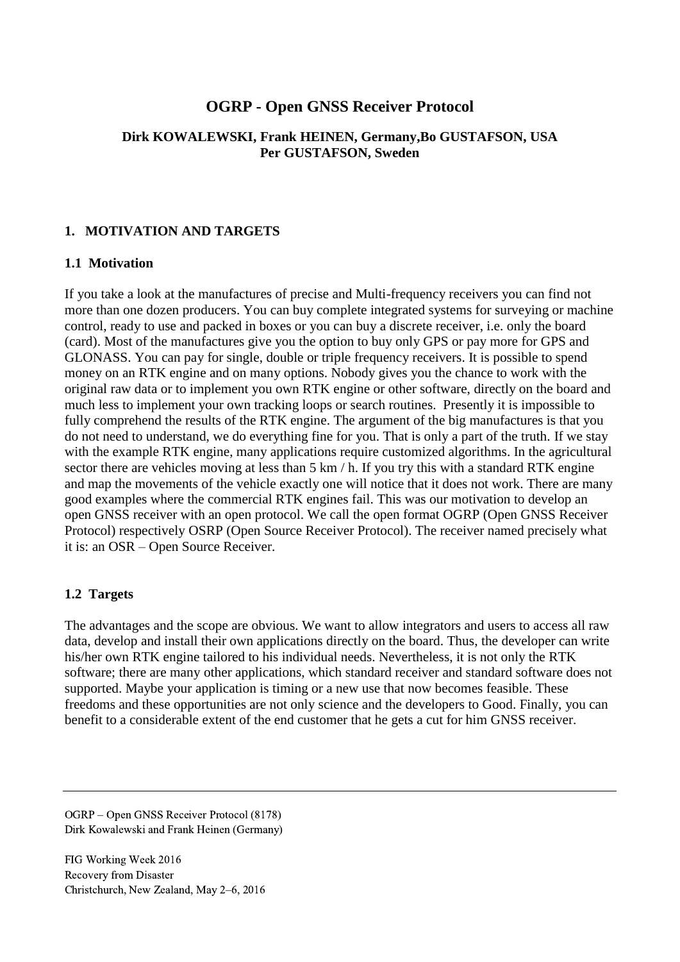# **OGRP - Open GNSS Receiver Protocol**

### **Dirk KOWALEWSKI, Frank HEINEN, Germany,Bo GUSTAFSON, USA Per GUSTAFSON, Sweden**

### **1. MOTIVATION AND TARGETS**

### **1.1 Motivation**

If you take a look at the manufactures of precise and Multi-frequency receivers you can find not more than one dozen producers. You can buy complete integrated systems for surveying or machine control, ready to use and packed in boxes or you can buy a discrete receiver, i.e. only the board (card). Most of the manufactures give you the option to buy only GPS or pay more for GPS and GLONASS. You can pay for single, double or triple frequency receivers. It is possible to spend money on an RTK engine and on many options. Nobody gives you the chance to work with the original raw data or to implement you own RTK engine or other software, directly on the board and much less to implement your own tracking loops or search routines. Presently it is impossible to fully comprehend the results of the RTK engine. The argument of the big manufactures is that you do not need to understand, we do everything fine for you. That is only a part of the truth. If we stay with the example RTK engine, many applications require customized algorithms. In the agricultural sector there are vehicles moving at less than 5 km / h. If you try this with a standard RTK engine and map the movements of the vehicle exactly one will notice that it does not work. There are many good examples where the commercial RTK engines fail. This was our motivation to develop an open GNSS receiver with an open protocol. We call the open format OGRP (Open GNSS Receiver Protocol) respectively OSRP (Open Source Receiver Protocol). The receiver named precisely what it is: an OSR – Open Source Receiver.

### **1.2 Targets**

The advantages and the scope are obvious. We want to allow integrators and users to access all raw data, develop and install their own applications directly on the board. Thus, the developer can write his/her own RTK engine tailored to his individual needs. Nevertheless, it is not only the RTK software; there are many other applications, which standard receiver and standard software does not supported. Maybe your application is timing or a new use that now becomes feasible. These freedoms and these opportunities are not only science and the developers to Good. Finally, you can benefit to a considerable extent of the end customer that he gets a cut for him GNSS receiver.

OGRP – Open GNSS Receiver Protocol (8178) Dirk Kowalewski and Frank Heinen (Germany)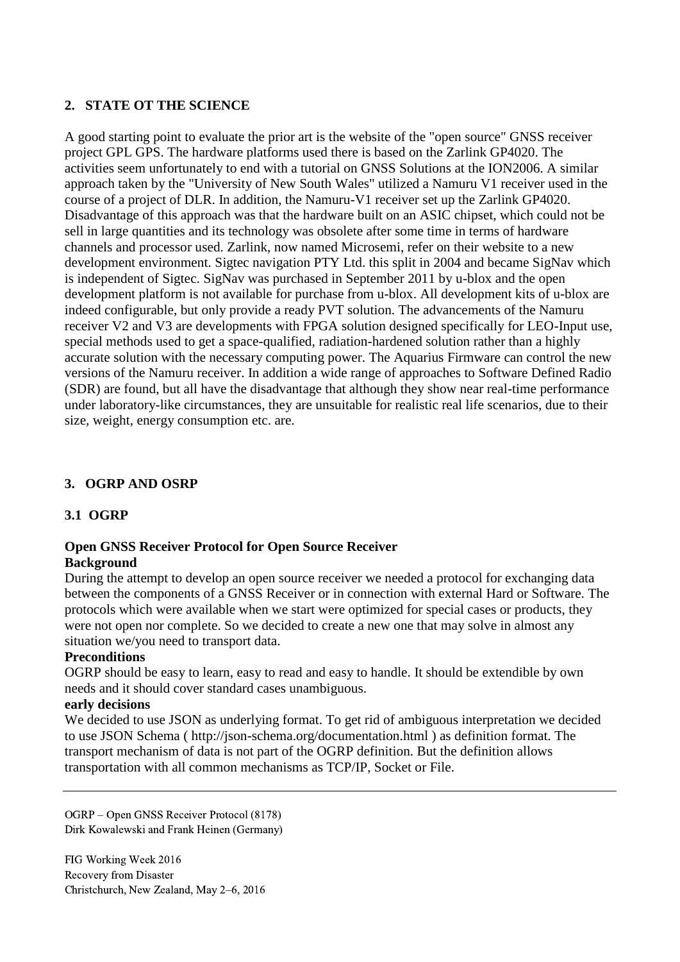## **2. STATE OT THE SCIENCE**

A good starting point to evaluate the prior art is the website of the "open source" GNSS receiver project GPL GPS. The hardware platforms used there is based on the Zarlink GP4020. The activities seem unfortunately to end with a tutorial on GNSS Solutions at the ION2006. A similar approach taken by the "University of New South Wales" utilized a Namuru V1 receiver used in the course of a project of DLR. In addition, the Namuru-V1 receiver set up the Zarlink GP4020. Disadvantage of this approach was that the hardware built on an ASIC chipset, which could not be sell in large quantities and its technology was obsolete after some time in terms of hardware channels and processor used. Zarlink, now named Microsemi, refer on their website to a new development environment. Sigtec navigation PTY Ltd. this split in 2004 and became SigNav which is independent of Sigtec. SigNav was purchased in September 2011 by u-blox and the open development platform is not available for purchase from u-blox. All development kits of u-blox are indeed configurable, but only provide a ready PVT solution. The advancements of the Namuru receiver V2 and V3 are developments with FPGA solution designed specifically for LEO-Input use, special methods used to get a space-qualified, radiation-hardened solution rather than a highly accurate solution with the necessary computing power. The Aquarius Firmware can control the new versions of the Namuru receiver. In addition a wide range of approaches to Software Defined Radio (SDR) are found, but all have the disadvantage that although they show near real-time performance under laboratory-like circumstances, they are unsuitable for realistic real life scenarios, due to their size, weight, energy consumption etc. are.

# **3. OGRP AND OSRP**

## **3.1 OGRP**

#### **Open GNSS Receiver Protocol for Open Source Receiver Background**

During the attempt to develop an open source receiver we needed a protocol for exchanging data between the components of a GNSS Receiver or in connection with external Hard or Software. The protocols which were available when we start were optimized for special cases or products, they were not open nor complete. So we decided to create a new one that may solve in almost any situation we/you need to transport data.

### **Preconditions**

OGRP should be easy to learn, easy to read and easy to handle. It should be extendible by own needs and it should cover standard cases unambiguous.

### **early decisions**

We decided to use JSON as underlying format. To get rid of ambiguous interpretation we decided to use JSON Schema ( http://json-schema.org/documentation.html ) as definition format. The transport mechanism of data is not part of the OGRP definition. But the definition allows transportation with all common mechanisms as TCP/IP, Socket or File.

OGRP – Open GNSS Receiver Protocol (8178) Dirk Kowalewski and Frank Heinen (Germany)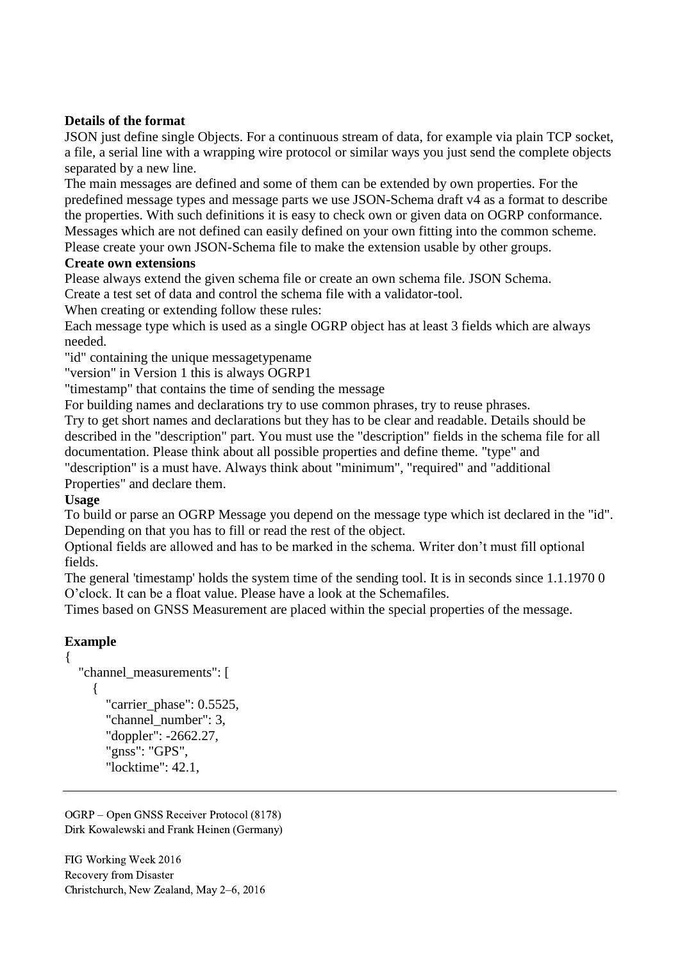## **Details of the format**

JSON just define single Objects. For a continuous stream of data, for example via plain TCP socket, a file, a serial line with a wrapping wire protocol or similar ways you just send the complete objects separated by a new line.

The main messages are defined and some of them can be extended by own properties. For the predefined message types and message parts we use JSON-Schema draft v4 as a format to describe the properties. With such definitions it is easy to check own or given data on OGRP conformance. Messages which are not defined can easily defined on your own fitting into the common scheme.

#### Please create your own JSON-Schema file to make the extension usable by other groups. **Create own extensions**

Please always extend the given schema file or create an own schema file. JSON Schema. Create a test set of data and control the schema file with a validator-tool.

When creating or extending follow these rules:

Each message type which is used as a single OGRP object has at least 3 fields which are always needed.

"id" containing the unique messagetypename

"version" in Version 1 this is always OGRP1

"timestamp" that contains the time of sending the message

For building names and declarations try to use common phrases, try to reuse phrases.

Try to get short names and declarations but they has to be clear and readable. Details should be described in the "description" part. You must use the "description" fields in the schema file for all documentation. Please think about all possible properties and define theme. "type" and "description" is a must have. Always think about "minimum", "required" and "additional

Properties" and declare them.

## **Usage**

To build or parse an OGRP Message you depend on the message type which ist declared in the "id". Depending on that you has to fill or read the rest of the object.

Optional fields are allowed and has to be marked in the schema. Writer don't must fill optional fields.

The general 'timestamp' holds the system time of the sending tool. It is in seconds since 1.1.1970 0 O'clock. It can be a float value. Please have a look at the Schemafiles.

Times based on GNSS Measurement are placed within the special properties of the message.

# **Example**

{

```
"channel measurements": [
   {
     "carrier_phase": 0.5525,
      "channel_number": 3,
      "doppler": -2662.27,
     "gnss": "GPS",
      "locktime": 42.1,
```
OGRP – Open GNSS Receiver Protocol (8178) Dirk Kowalewski and Frank Heinen (Germany)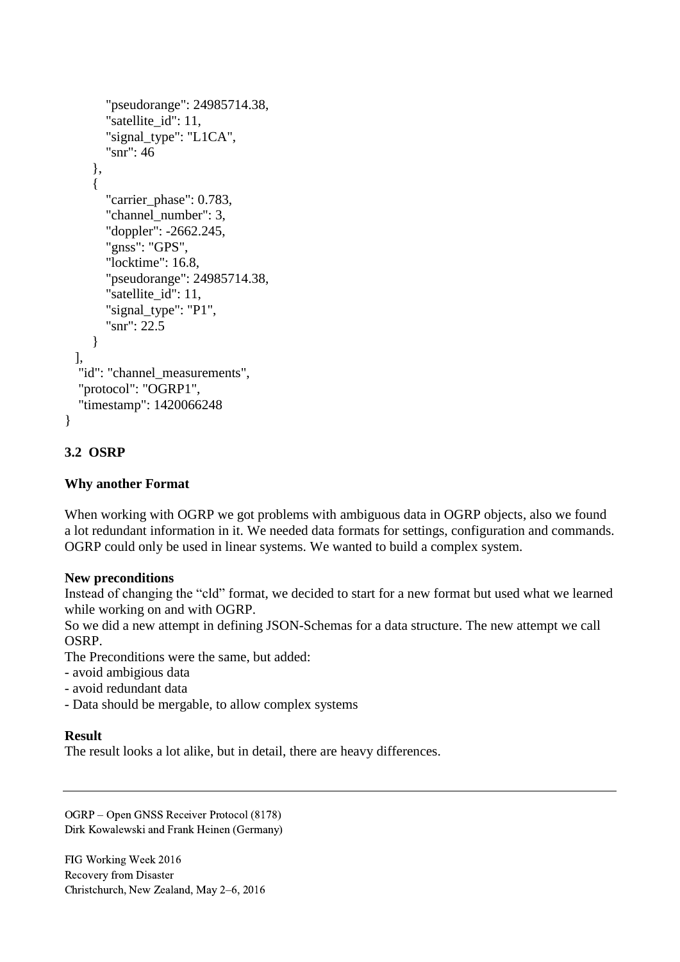```
 "pseudorange": 24985714.38,
     "satellite_id": 11,
     "signal_type": "L1CA",
      "snr": 46
    },
    {
      "carrier_phase": 0.783,
      "channel_number": 3,
      "doppler": -2662.245,
      "gnss": "GPS",
      "locktime": 16.8,
      "pseudorange": 24985714.38,
     "satellite id": 11,
      "signal_type": "P1",
      "snr": 22.5
    }
 ],
 "id": "channel_measurements",
 "protocol": "OGRP1",
 "timestamp": 1420066248
```
# **3.2 OSRP**

}

## **Why another Format**

When working with OGRP we got problems with ambiguous data in OGRP objects, also we found a lot redundant information in it. We needed data formats for settings, configuration and commands. OGRP could only be used in linear systems. We wanted to build a complex system.

## **New preconditions**

Instead of changing the "cld" format, we decided to start for a new format but used what we learned while working on and with OGRP.

So we did a new attempt in defining JSON-Schemas for a data structure. The new attempt we call OSRP.

The Preconditions were the same, but added:

- avoid ambigious data
- avoid redundant data
- Data should be mergable, to allow complex systems

### **Result**

The result looks a lot alike, but in detail, there are heavy differences.

OGRP – Open GNSS Receiver Protocol (8178) Dirk Kowalewski and Frank Heinen (Germany)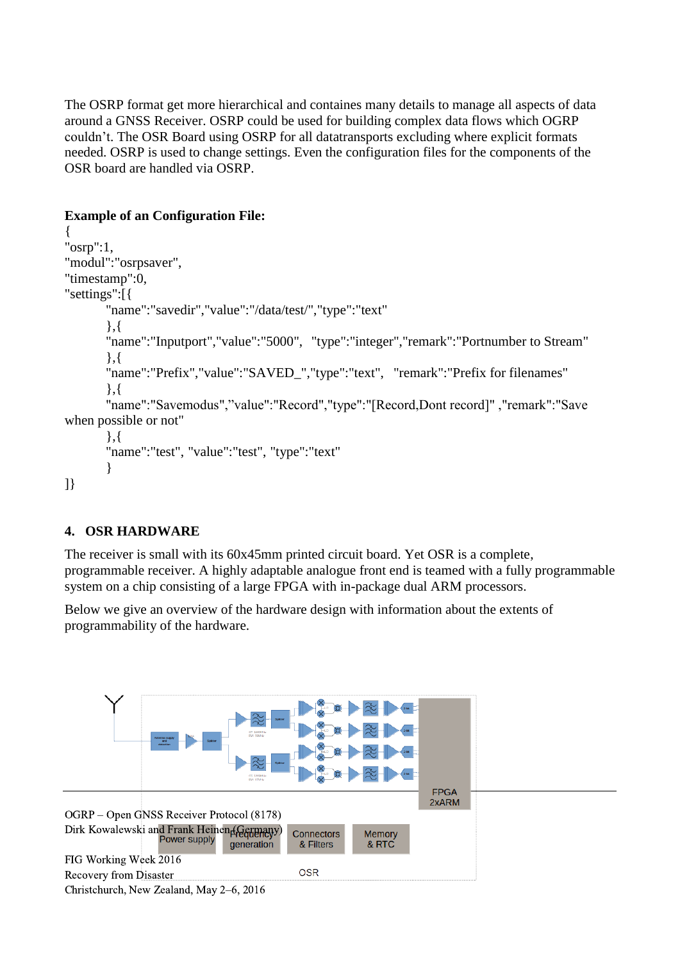The OSRP format get more hierarchical and containes many details to manage all aspects of data around a GNSS Receiver. OSRP could be used for building complex data flows which OGRP couldn't. The OSR Board using OSRP for all datatransports excluding where explicit formats needed. OSRP is used to change settings. Even the configuration files for the components of the OSR board are handled via OSRP.

# **Example of an Configuration File:**

```
{
"osrp":1,
"modul":"osrpsaver",
"timestamp":0,
"settings":[{
       "name":"savedir","value":"/data/test/","type":"text"
       },{
       "name":"Inputport","value":"5000", "type":"integer","remark":"Portnumber to Stream"
       },{
       "name":"Prefix","value":"SAVED_","type":"text", "remark":"Prefix for filenames"
       },{
       "name":"Savemodus","value":"Record","type":"[Record,Dont record]" ,"remark":"Save 
when possible or not"
       },{
       "name":"test", "value":"test", "type":"text"
       }
```
# ]}

# **4. OSR HARDWARE**

The receiver is small with its 60x45mm printed circuit board. Yet OSR is a complete, programmable receiver. A highly adaptable analogue front end is teamed with a fully programmable system on a chip consisting of a large FPGA with in-package dual ARM processors.

Below we give an overview of the hardware design with information about the extents of programmability of the hardware.



Christchurch, New Zealand, May 2–6, 2016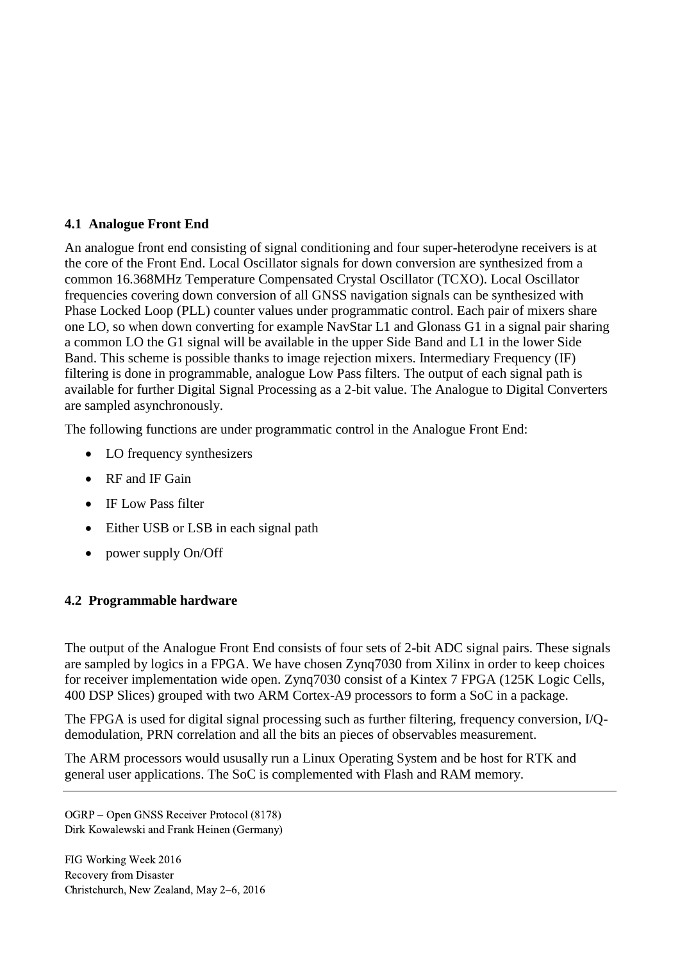## **4.1 Analogue Front End**

An analogue front end consisting of signal conditioning and four super-heterodyne receivers is at the core of the Front End. Local Oscillator signals for down conversion are synthesized from a common 16.368MHz Temperature Compensated Crystal Oscillator (TCXO). Local Oscillator frequencies covering down conversion of all GNSS navigation signals can be synthesized with Phase Locked Loop (PLL) counter values under programmatic control. Each pair of mixers share one LO, so when down converting for example NavStar L1 and Glonass G1 in a signal pair sharing a common LO the G1 signal will be available in the upper Side Band and L1 in the lower Side Band. This scheme is possible thanks to image rejection mixers. Intermediary Frequency (IF) filtering is done in programmable, analogue Low Pass filters. The output of each signal path is available for further Digital Signal Processing as a 2-bit value. The Analogue to Digital Converters are sampled asynchronously.

The following functions are under programmatic control in the Analogue Front End:

- LO frequency synthesizers
- RF and IF Gain
- IF Low Pass filter
- Either USB or LSB in each signal path
- power supply On/Off

## **4.2 Programmable hardware**

The output of the Analogue Front End consists of four sets of 2-bit ADC signal pairs. These signals are sampled by logics in a FPGA. We have chosen Zynq7030 from Xilinx in order to keep choices for receiver implementation wide open. Zynq7030 consist of a Kintex 7 FPGA (125K Logic Cells, 400 DSP Slices) grouped with two ARM Cortex-A9 processors to form a SoC in a package.

The FPGA is used for digital signal processing such as further filtering, frequency conversion, I/Qdemodulation, PRN correlation and all the bits an pieces of observables measurement.

The ARM processors would ususally run a Linux Operating System and be host for RTK and general user applications. The SoC is complemented with Flash and RAM memory.

OGRP – Open GNSS Receiver Protocol (8178) Dirk Kowalewski and Frank Heinen (Germany)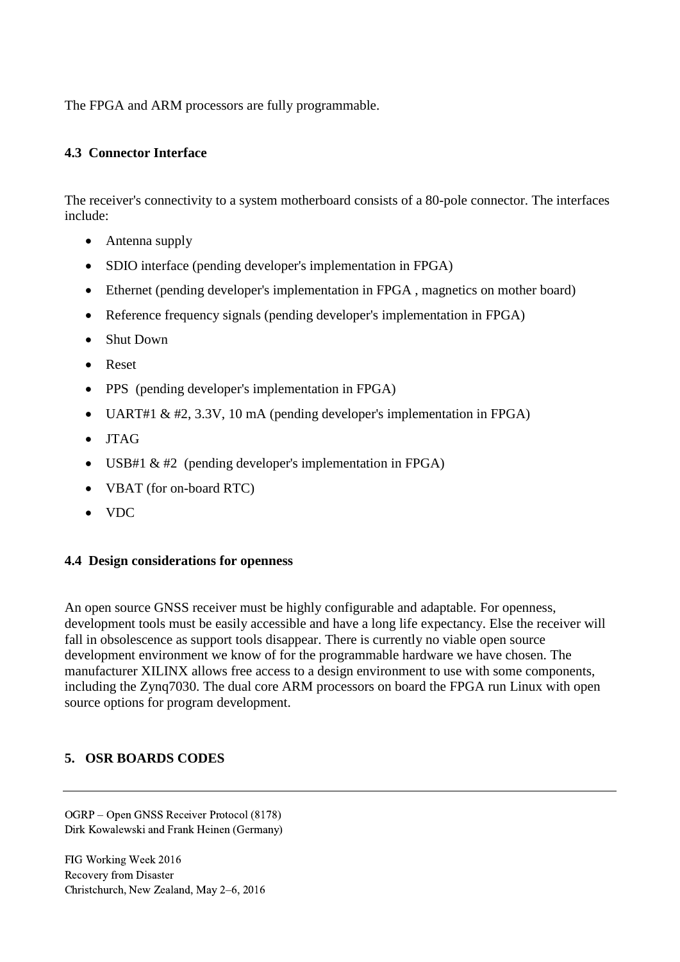The FPGA and ARM processors are fully programmable.

### **4.3 Connector Interface**

The receiver's connectivity to a system motherboard consists of a 80-pole connector. The interfaces include:

- Antenna supply
- SDIO interface (pending developer's implementation in FPGA)
- Ethernet (pending developer's implementation in FPGA , magnetics on mother board)
- Reference frequency signals (pending developer's implementation in FPGA)
- Shut Down
- Reset
- PPS (pending developer's implementation in FPGA)
- UART#1 & #2, 3.3V, 10 mA (pending developer's implementation in FPGA)
- JTAG
- USB#1  $& #2$  (pending developer's implementation in FPGA)
- VBAT (for on-board RTC)
- VDC

### **4.4 Design considerations for openness**

An open source GNSS receiver must be highly configurable and adaptable. For openness, development tools must be easily accessible and have a long life expectancy. Else the receiver will fall in obsolescence as support tools disappear. There is currently no viable open source development environment we know of for the programmable hardware we have chosen. The manufacturer XILINX allows free access to a design environment to use with some components, including the Zynq7030. The dual core ARM processors on board the FPGA run Linux with open source options for program development.

## **5. OSR BOARDS CODES**

OGRP – Open GNSS Receiver Protocol (8178) Dirk Kowalewski and Frank Heinen (Germany)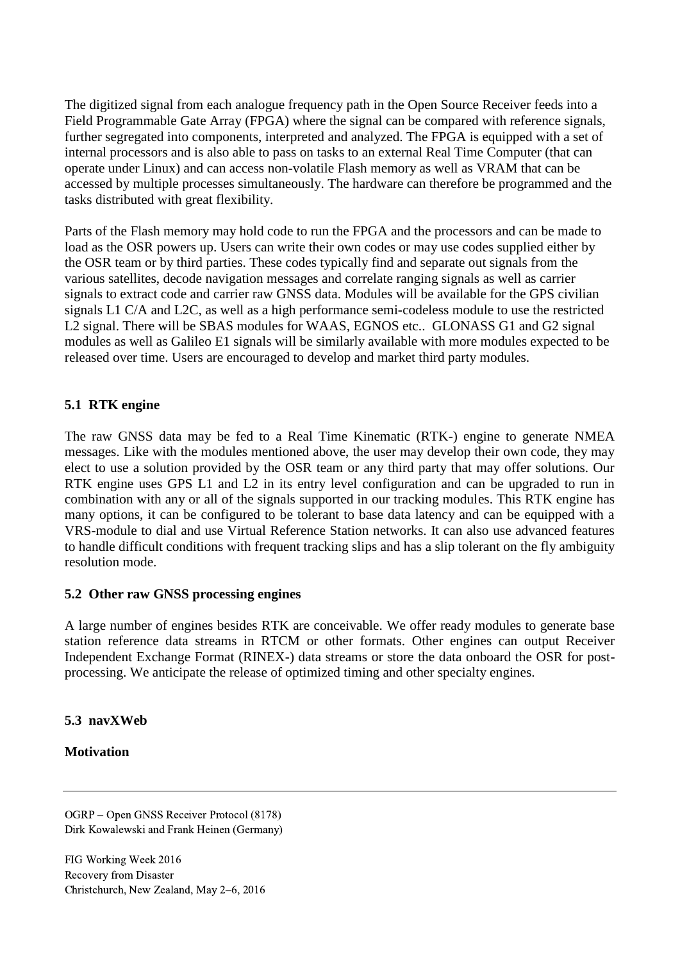The digitized signal from each analogue frequency path in the Open Source Receiver feeds into a Field Programmable Gate Array (FPGA) where the signal can be compared with reference signals, further segregated into components, interpreted and analyzed. The FPGA is equipped with a set of internal processors and is also able to pass on tasks to an external Real Time Computer (that can operate under Linux) and can access non-volatile Flash memory as well as VRAM that can be accessed by multiple processes simultaneously. The hardware can therefore be programmed and the tasks distributed with great flexibility.

Parts of the Flash memory may hold code to run the FPGA and the processors and can be made to load as the OSR powers up. Users can write their own codes or may use codes supplied either by the OSR team or by third parties. These codes typically find and separate out signals from the various satellites, decode navigation messages and correlate ranging signals as well as carrier signals to extract code and carrier raw GNSS data. Modules will be available for the GPS civilian signals L1 C/A and L2C, as well as a high performance semi-codeless module to use the restricted L2 signal. There will be SBAS modules for WAAS, EGNOS etc.. GLONASS G1 and G2 signal modules as well as Galileo E1 signals will be similarly available with more modules expected to be released over time. Users are encouraged to develop and market third party modules.

## **5.1 RTK engine**

The raw GNSS data may be fed to a Real Time Kinematic (RTK-) engine to generate NMEA messages. Like with the modules mentioned above, the user may develop their own code, they may elect to use a solution provided by the OSR team or any third party that may offer solutions. Our RTK engine uses GPS L1 and L2 in its entry level configuration and can be upgraded to run in combination with any or all of the signals supported in our tracking modules. This RTK engine has many options, it can be configured to be tolerant to base data latency and can be equipped with a VRS-module to dial and use Virtual Reference Station networks. It can also use advanced features to handle difficult conditions with frequent tracking slips and has a slip tolerant on the fly ambiguity resolution mode.

### **5.2 Other raw GNSS processing engines**

A large number of engines besides RTK are conceivable. We offer ready modules to generate base station reference data streams in RTCM or other formats. Other engines can output Receiver Independent Exchange Format (RINEX-) data streams or store the data onboard the OSR for postprocessing. We anticipate the release of optimized timing and other specialty engines.

## **5.3 navXWeb**

## **Motivation**

OGRP – Open GNSS Receiver Protocol (8178) Dirk Kowalewski and Frank Heinen (Germany)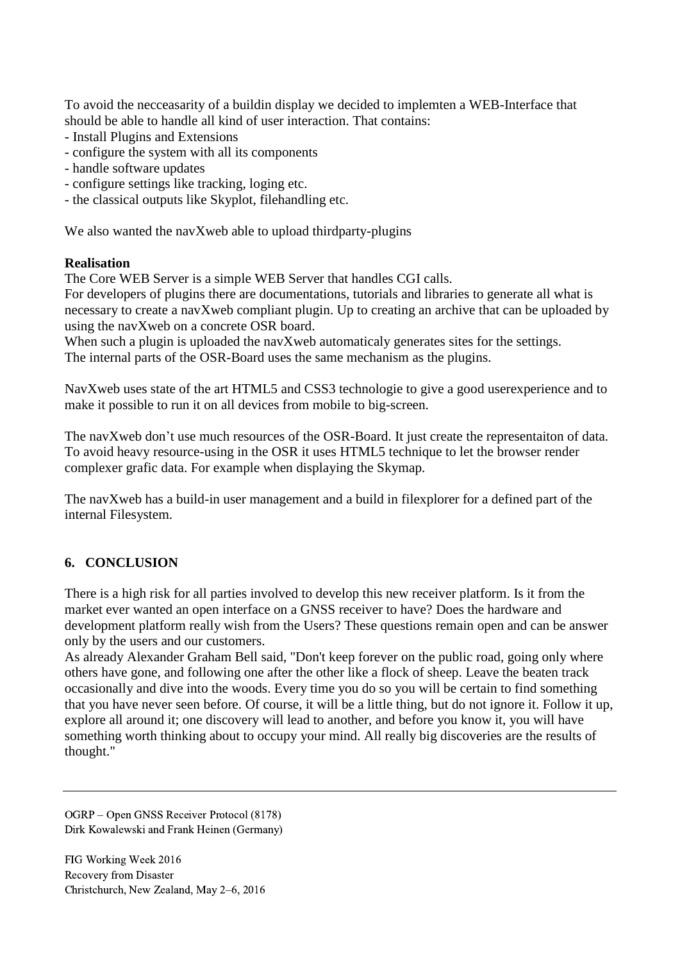To avoid the necceasarity of a buildin display we decided to implemten a WEB-Interface that should be able to handle all kind of user interaction. That contains:

- Install Plugins and Extensions
- configure the system with all its components
- handle software updates
- configure settings like tracking, loging etc.
- the classical outputs like Skyplot, filehandling etc.

We also wanted the navXweb able to upload thirdparty-plugins

### **Realisation**

The Core WEB Server is a simple WEB Server that handles CGI calls.

For developers of plugins there are documentations, tutorials and libraries to generate all what is necessary to create a navXweb compliant plugin. Up to creating an archive that can be uploaded by using the navXweb on a concrete OSR board.

When such a plugin is uploaded the navXweb automaticaly generates sites for the settings. The internal parts of the OSR-Board uses the same mechanism as the plugins.

NavXweb uses state of the art HTML5 and CSS3 technologie to give a good userexperience and to make it possible to run it on all devices from mobile to big-screen.

The navXweb don't use much resources of the OSR-Board. It just create the representaiton of data. To avoid heavy resource-using in the OSR it uses HTML5 technique to let the browser render complexer grafic data. For example when displaying the Skymap.

The navXweb has a build-in user management and a build in filexplorer for a defined part of the internal Filesystem.

# **6. CONCLUSION**

There is a high risk for all parties involved to develop this new receiver platform. Is it from the market ever wanted an open interface on a GNSS receiver to have? Does the hardware and development platform really wish from the Users? These questions remain open and can be answer only by the users and our customers.

As already Alexander Graham Bell said, "Don't keep forever on the public road, going only where others have gone, and following one after the other like a flock of sheep. Leave the beaten track occasionally and dive into the woods. Every time you do so you will be certain to find something that you have never seen before. Of course, it will be a little thing, but do not ignore it. Follow it up, explore all around it; one discovery will lead to another, and before you know it, you will have something worth thinking about to occupy your mind. All really big discoveries are the results of thought."

OGRP – Open GNSS Receiver Protocol (8178) Dirk Kowalewski and Frank Heinen (Germany)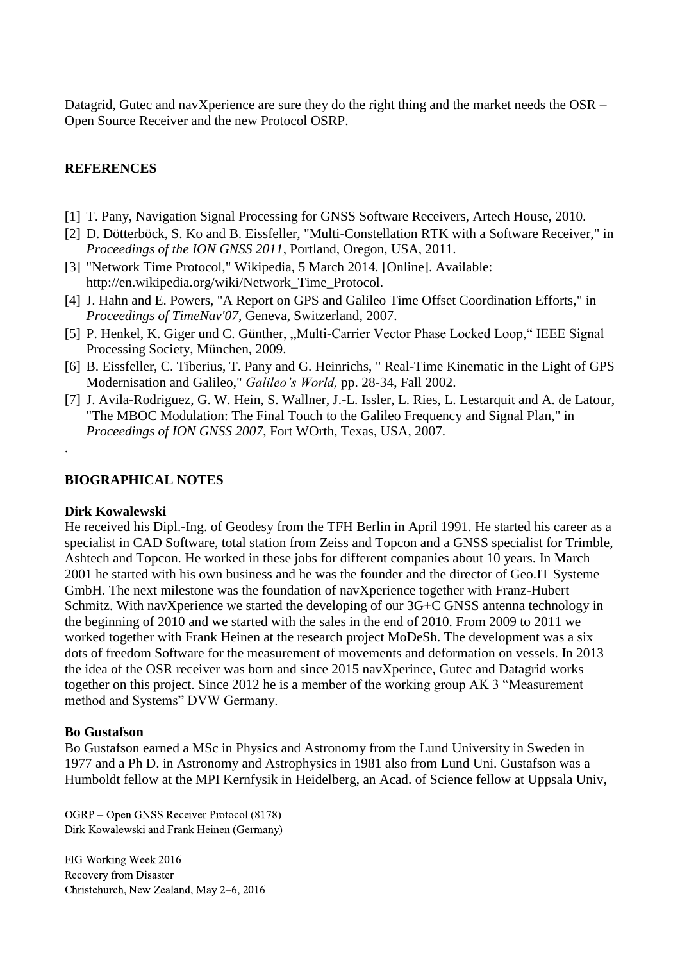Datagrid, Gutec and navXperience are sure they do the right thing and the market needs the OSR – Open Source Receiver and the new Protocol OSRP.

### **REFERENCES**

- [1] T. Pany, Navigation Signal Processing for GNSS Software Receivers, Artech House, 2010.
- [2] D. Dötterböck, S. Ko and B. Eissfeller, "Multi-Constellation RTK with a Software Receiver," in *Proceedings of the ION GNSS 2011*, Portland, Oregon, USA, 2011.
- [3] "Network Time Protocol," Wikipedia, 5 March 2014. [Online]. Available: http://en.wikipedia.org/wiki/Network\_Time\_Protocol.
- [4] J. Hahn and E. Powers, "A Report on GPS and Galileo Time Offset Coordination Efforts," in *Proceedings of TimeNav'07*, Geneva, Switzerland, 2007.
- [5] P. Henkel, K. Giger und C. Günther, "Multi-Carrier Vector Phase Locked Loop," IEEE Signal Processing Society, München, 2009.
- [6] B. Eissfeller, C. Tiberius, T. Pany and G. Heinrichs, " Real-Time Kinematic in the Light of GPS Modernisation and Galileo," *Galileo's World,* pp. 28-34, Fall 2002.
- [7] J. Avila-Rodriguez, G. W. Hein, S. Wallner, J.-L. Issler, L. Ries, L. Lestarquit and A. de Latour, "The MBOC Modulation: The Final Touch to the Galileo Frequency and Signal Plan," in *Proceedings of ION GNSS 2007*, Fort WOrth, Texas, USA, 2007.

#### **BIOGRAPHICAL NOTES**

#### **Dirk Kowalewski**

.

He received his Dipl.-Ing. of Geodesy from the TFH Berlin in April 1991. He started his career as a specialist in CAD Software, total station from Zeiss and Topcon and a GNSS specialist for Trimble, Ashtech and Topcon. He worked in these jobs for different companies about 10 years. In March 2001 he started with his own business and he was the founder and the director of Geo.IT Systeme GmbH. The next milestone was the foundation of navXperience together with Franz-Hubert Schmitz. With navXperience we started the developing of our 3G+C GNSS antenna technology in the beginning of 2010 and we started with the sales in the end of 2010. From 2009 to 2011 we worked together with Frank Heinen at the research project MoDeSh. The development was a six dots of freedom Software for the measurement of movements and deformation on vessels. In 2013 the idea of the OSR receiver was born and since 2015 navXperince, Gutec and Datagrid works together on this project. Since 2012 he is a member of the working group AK 3 "Measurement method and Systems" DVW Germany.

#### **Bo Gustafson**

Bo Gustafson earned a MSc in Physics and Astronomy from the Lund University in Sweden in 1977 and a Ph D. in Astronomy and Astrophysics in 1981 also from Lund Uni. Gustafson was a Humboldt fellow at the MPI Kernfysik in Heidelberg, an Acad. of Science fellow at Uppsala Univ,

OGRP – Open GNSS Receiver Protocol (8178) Dirk Kowalewski and Frank Heinen (Germany)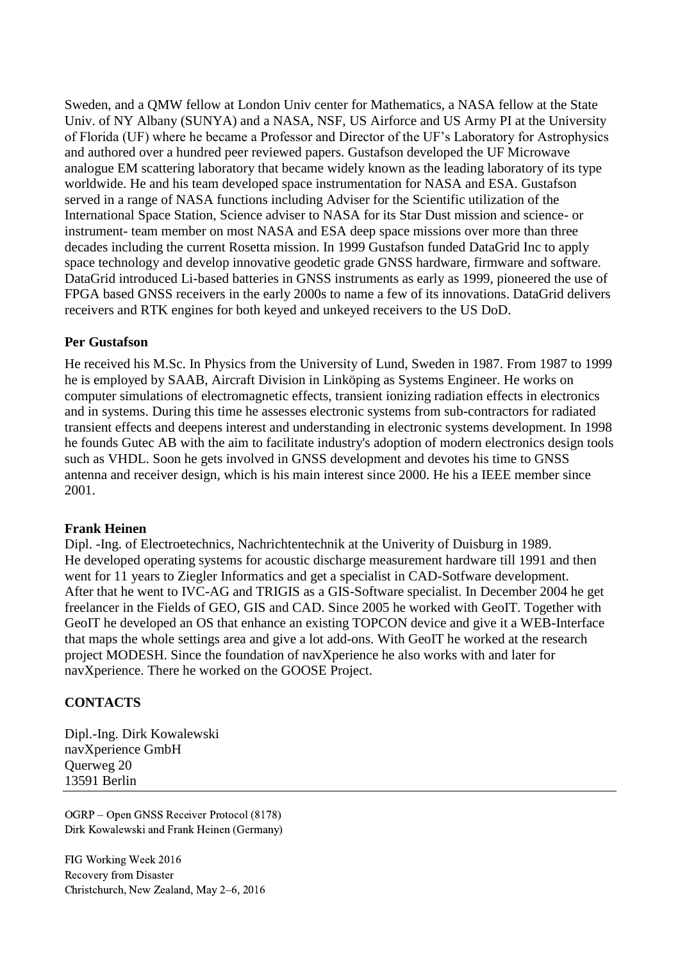Sweden, and a QMW fellow at London Univ center for Mathematics, a NASA fellow at the State Univ. of NY Albany (SUNYA) and a NASA, NSF, US Airforce and US Army PI at the University of Florida (UF) where he became a Professor and Director of the UF's Laboratory for Astrophysics and authored over a hundred peer reviewed papers. Gustafson developed the UF Microwave analogue EM scattering laboratory that became widely known as the leading laboratory of its type worldwide. He and his team developed space instrumentation for NASA and ESA. Gustafson served in a range of NASA functions including Adviser for the Scientific utilization of the International Space Station, Science adviser to NASA for its Star Dust mission and science- or instrument- team member on most NASA and ESA deep space missions over more than three decades including the current Rosetta mission. In 1999 Gustafson funded DataGrid Inc to apply space technology and develop innovative geodetic grade GNSS hardware, firmware and software. DataGrid introduced Li-based batteries in GNSS instruments as early as 1999, pioneered the use of FPGA based GNSS receivers in the early 2000s to name a few of its innovations. DataGrid delivers receivers and RTK engines for both keyed and unkeyed receivers to the US DoD.

## **Per Gustafson**

He received his M.Sc. In Physics from the University of Lund, Sweden in 1987. From 1987 to 1999 he is employed by SAAB, Aircraft Division in Linköping as Systems Engineer. He works on computer simulations of electromagnetic effects, transient ionizing radiation effects in electronics and in systems. During this time he assesses electronic systems from sub-contractors for radiated transient effects and deepens interest and understanding in electronic systems development. In 1998 he founds Gutec AB with the aim to facilitate industry's adoption of modern electronics design tools such as VHDL. Soon he gets involved in GNSS development and devotes his time to GNSS antenna and receiver design, which is his main interest since 2000. He his a IEEE member since 2001.

### **Frank Heinen**

Dipl. -Ing. of Electroetechnics, Nachrichtentechnik at the Univerity of Duisburg in 1989. He developed operating systems for acoustic discharge measurement hardware till 1991 and then went for 11 years to Ziegler Informatics and get a specialist in CAD-Sotfware development. After that he went to IVC-AG and TRIGIS as a GIS-Software specialist. In December 2004 he get freelancer in the Fields of GEO, GIS and CAD. Since 2005 he worked with GeoIT. Together with GeoIT he developed an OS that enhance an existing TOPCON device and give it a WEB-Interface that maps the whole settings area and give a lot add-ons. With GeoIT he worked at the research project MODESH. Since the foundation of navXperience he also works with and later for navXperience. There he worked on the GOOSE Project.

## **CONTACTS**

Dipl.-Ing. Dirk Kowalewski navXperience GmbH Querweg 20 13591 Berlin

OGRP – Open GNSS Receiver Protocol (8178) Dirk Kowalewski and Frank Heinen (Germany)